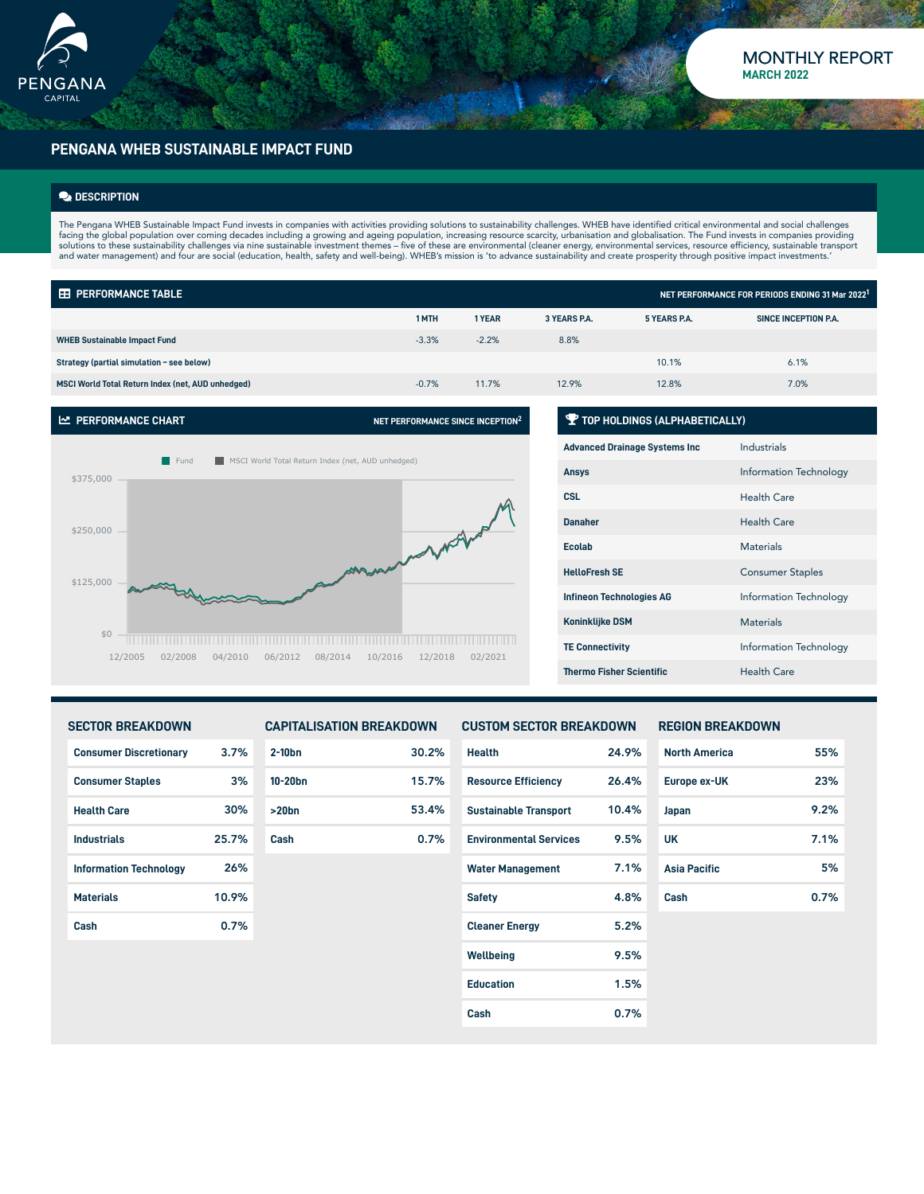

### **PENGANA WHEB SUSTAINABLE IMPACT FUND**

#### **DESCRIPTION**

The Pengana WHEB Sustainable Impact Fund invests in companies with activities providing solutions to sustainability challenges. WHEB have identified critical environmental and social challenges facing the global population over coming decades including a growing and ageing population, increasing resource scarcity, urbanisation and globalisation. The Fund invests in companies providing<br>solutions to these sustainab

| <b>EE PERFORMANCE TABLE</b><br>NET PERFORMANCE FOR PERIODS ENDING 31 Mar 2022 <sup>1</sup> |         |         |              |              |                      |  |  |
|--------------------------------------------------------------------------------------------|---------|---------|--------------|--------------|----------------------|--|--|
|                                                                                            | 1 MTH   | 1 YEAR  | 3 YEARS P.A. | 5 YEARS P.A. | SINCE INCEPTION P.A. |  |  |
| <b>WHEB Sustainable Impact Fund</b>                                                        | $-3.3%$ | $-2.2%$ | 8.8%         |              |                      |  |  |
| Strategy (partial simulation - see below)                                                  |         |         |              | 10.1%        | 6.1%                 |  |  |
| MSCI World Total Return Index (net, AUD unhedged)                                          | $-0.7%$ | 11.7%   | 12.9%        | 12.8%        | 7.0%                 |  |  |



#### **TOP HOLDINGS (ALPHABETICALLY)**

| <b>Advanced Drainage Systems Inc.</b> | Industrials             |
|---------------------------------------|-------------------------|
| <b>Ansys</b>                          | Information Technology  |
| <b>CSL</b>                            | Health Care             |
| <b>Danaher</b>                        | <b>Health Care</b>      |
| <b>Ecolab</b>                         | <b>Materials</b>        |
| <b>HelloFresh SF</b>                  | <b>Consumer Staples</b> |
| <b>Infineon Technologies AG</b>       | Information Technology  |
| <b>Koninklijke DSM</b>                | <b>Materials</b>        |
| <b>TE Connectivity</b>                | Information Technology  |
| <b>Thermo Fisher Scientific</b>       | Health Care             |

| <b>SECTOR BREAKDOWN</b>       |       | <b>CAPITALISATION BREAKDOWN</b> |       | <b>CUSTOM SECTOR BREAKDOWN</b> |       | <b>REGION BREAKDOWN</b> |      |
|-------------------------------|-------|---------------------------------|-------|--------------------------------|-------|-------------------------|------|
| <b>Consumer Discretionary</b> | 3.7%  | $2-10bn$                        | 30.2% | <b>Health</b>                  | 24.9% | <b>North America</b>    | 55%  |
| <b>Consumer Staples</b>       | 3%    | $10-20$ bn                      | 15.7% | <b>Resource Efficiency</b>     | 26.4% | Europe ex-UK            | 23%  |
| <b>Health Care</b>            | 30%   | >20bn                           | 53.4% | <b>Sustainable Transport</b>   | 10.4% | Japan                   | 9.2% |
| <b>Industrials</b>            | 25.7% | Cash                            | 0.7%  | <b>Environmental Services</b>  | 9.5%  | <b>UK</b>               | 7.1% |
| <b>Information Technology</b> | 26%   |                                 |       | <b>Water Management</b>        | 7.1%  | <b>Asia Pacific</b>     | 5%   |
| <b>Materials</b>              | 10.9% |                                 |       | <b>Safety</b>                  | 4.8%  | Cash                    | 0.7% |
| Cash                          | 0.7%  |                                 |       | <b>Cleaner Energy</b>          | 5.2%  |                         |      |
|                               |       |                                 |       | Wellbeing                      | 9.5%  |                         |      |
|                               |       |                                 |       | <b>Education</b>               | 1.5%  |                         |      |
|                               |       |                                 |       | Cash                           | 0.7%  |                         |      |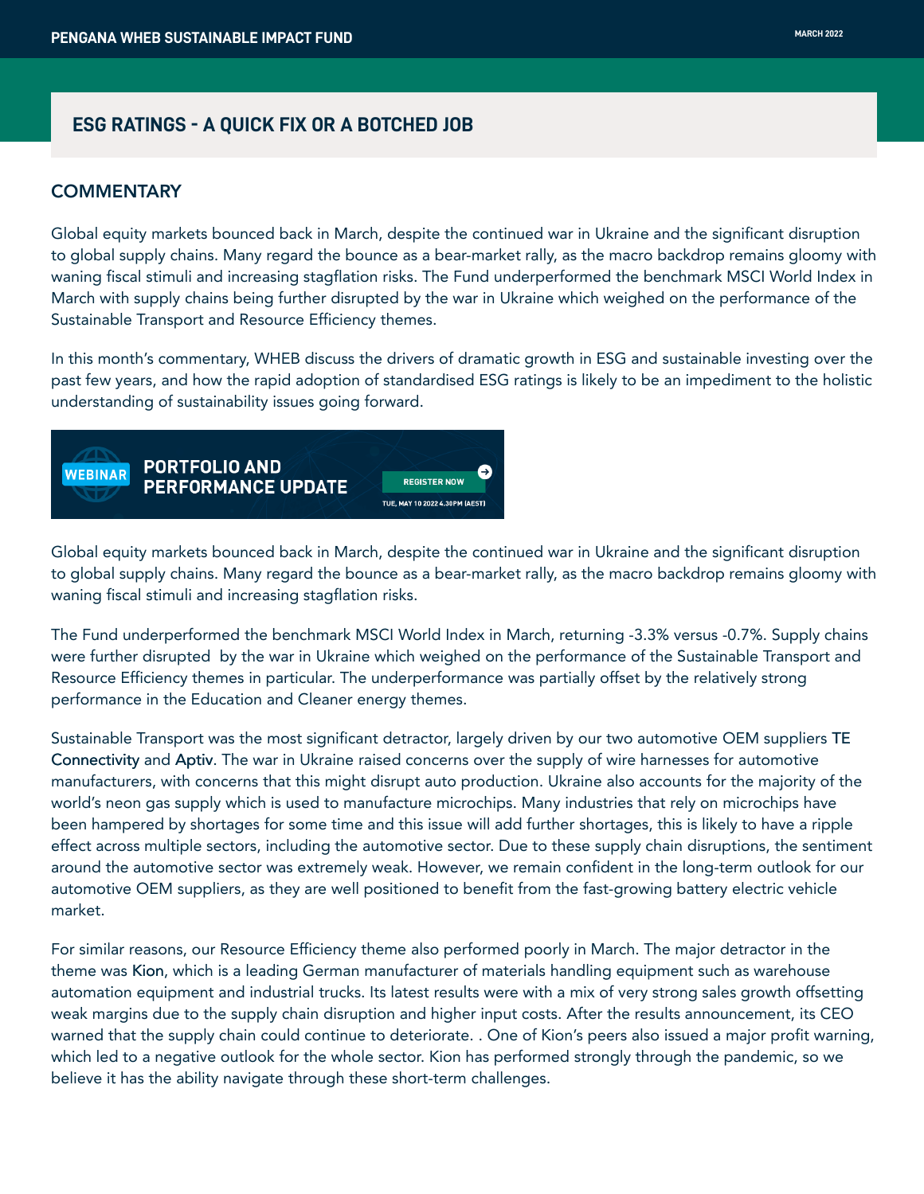# **ESG RATINGS - A QUICK FIX OR A BOTCHED JOB**

### **COMMENTARY**

Global equity markets bounced back in March, despite the continued war in Ukraine and the significant disruption to global supply chains. Many regard the bounce as a bear-market rally, as the macro backdrop remains gloomy with waning fiscal stimuli and increasing stagflation risks. The Fund underperformed the benchmark MSCI World Index in March with supply chains being further disrupted by the war in Ukraine which weighed on the performance of the Sustainable Transport and Resource Efficiency themes.

In this month's commentary, WHEB discuss the drivers of dramatic growth in ESG and sustainable investing over the past few years, and how the rapid adoption of standardised ESG ratings is likely to be an impediment to the holistic understanding of sustainability issues going forward.



Global equity markets bounced back in March, despite the continued war in Ukraine and the significant disruption to global supply chains. Many regard the bounce as a bear-market rally, as the macro backdrop remains gloomy with waning fiscal stimuli and increasing stagflation risks.

The Fund underperformed the benchmark MSCI World Index in March, returning -3.3% versus -0.7%. Supply chains were further disrupted by the war in Ukraine which weighed on the performance of the Sustainable Transport and Resource Efficiency themes in particular. The underperformance was partially offset by the relatively strong performance in the Education and Cleaner energy themes.

Sustainable Transport was the most significant detractor, largely driven by our two automotive OEM suppliers TE Connectivity and Aptiv. The war in Ukraine raised concerns over the supply of wire harnesses for automotive manufacturers, with concerns that this might disrupt auto production. Ukraine also accounts for the majority of the world's neon gas supply which is used to manufacture microchips. Many industries that rely on microchips have been hampered by shortages for some time and this issue will add further shortages, this is likely to have a ripple effect across multiple sectors, including the automotive sector. Due to these supply chain disruptions, the sentiment around the automotive sector was extremely weak. However, we remain confident in the long-term outlook for our automotive OEM suppliers, as they are well positioned to benefit from the fast-growing battery electric vehicle market.

For similar reasons, our Resource Efficiency theme also performed poorly in March. The major detractor in the theme was Kion, which is a leading German manufacturer of materials handling equipment such as warehouse automation equipment and industrial trucks. Its latest results were with a mix of very strong sales growth offsetting weak margins due to the supply chain disruption and higher input costs. After the results announcement, its CEO warned that the supply chain could continue to deteriorate. . One of Kion's peers also issued a major profit warning, which led to a negative outlook for the whole sector. Kion has performed strongly through the pandemic, so we believe it has the ability navigate through these short-term challenges.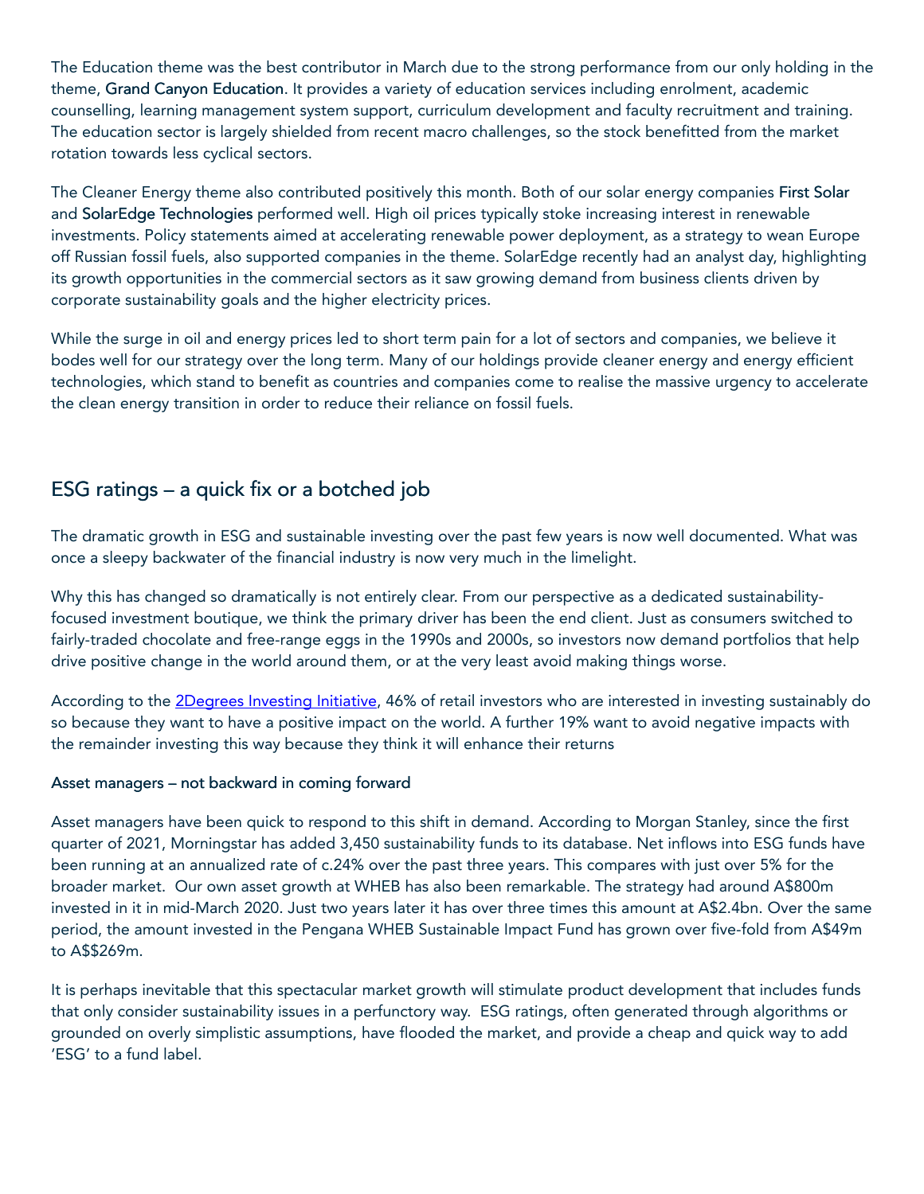The Education theme was the best contributor in March due to the strong performance from our only holding in the theme, Grand Canyon Education. It provides a variety of education services including enrolment, academic counselling, learning management system support, curriculum development and faculty recruitment and training. The education sector is largely shielded from recent macro challenges, so the stock benefitted from the market rotation towards less cyclical sectors.

The Cleaner Energy theme also contributed positively this month. Both of our solar energy companies First Solar and SolarEdge Technologies performed well. High oil prices typically stoke increasing interest in renewable investments. Policy statements aimed at accelerating renewable power deployment, as a strategy to wean Europe off Russian fossil fuels, also supported companies in the theme. SolarEdge recently had an analyst day, highlighting its growth opportunities in the commercial sectors as it saw growing demand from business clients driven by corporate sustainability goals and the higher electricity prices.

While the surge in oil and energy prices led to short term pain for a lot of sectors and companies, we believe it bodes well for our strategy over the long term. Many of our holdings provide cleaner energy and energy efficient technologies, which stand to benefit as countries and companies come to realise the massive urgency to accelerate the clean energy transition in order to reduce their reliance on fossil fuels.

# ESG ratings – a quick fix or a botched job

The dramatic growth in ESG and sustainable investing over the past few years is now well documented. What was once a sleepy backwater of the financial industry is now very much in the limelight.

Why this has changed so dramatically is not entirely clear. From our perspective as a dedicated sustainabilityfocused investment boutique, we think the primary driver has been the end client. Just as consumers switched to fairly-traded chocolate and free-range eggs in the 1990s and 2000s, so investors now demand portfolios that help drive positive change in the world around them, or at the very least avoid making things worse.

According to the [2Degrees Investing Initiative,](https://2degrees-investing.org/resource/retail-clients-sustainable-investment/) 46% of retail investors who are interested in investing sustainably do so because they want to have a positive impact on the world. A further 19% want to avoid negative impacts with the remainder investing this way because they think it will enhance their returns

# Asset managers – not backward in coming forward

Asset managers have been quick to respond to this shift in demand. According to Morgan Stanley, since the first quarter of 2021, Morningstar has added 3,450 sustainability funds to its database. Net inflows into ESG funds have been running at an annualized rate of c.24% over the past three years. This compares with just over 5% for the broader market. Our own asset growth at WHEB has also been remarkable. The strategy had around A\$800m invested in it in mid-March 2020. Just two years later it has over three times this amount at A\$2.4bn. Over the same period, the amount invested in the Pengana WHEB Sustainable Impact Fund has grown over five-fold from A\$49m to A\$\$269m.

It is perhaps inevitable that this spectacular market growth will stimulate product development that includes funds that only consider sustainability issues in a perfunctory way. ESG ratings, often generated through algorithms or grounded on overly simplistic assumptions, have flooded the market, and provide a cheap and quick way to add 'ESG' to a fund label.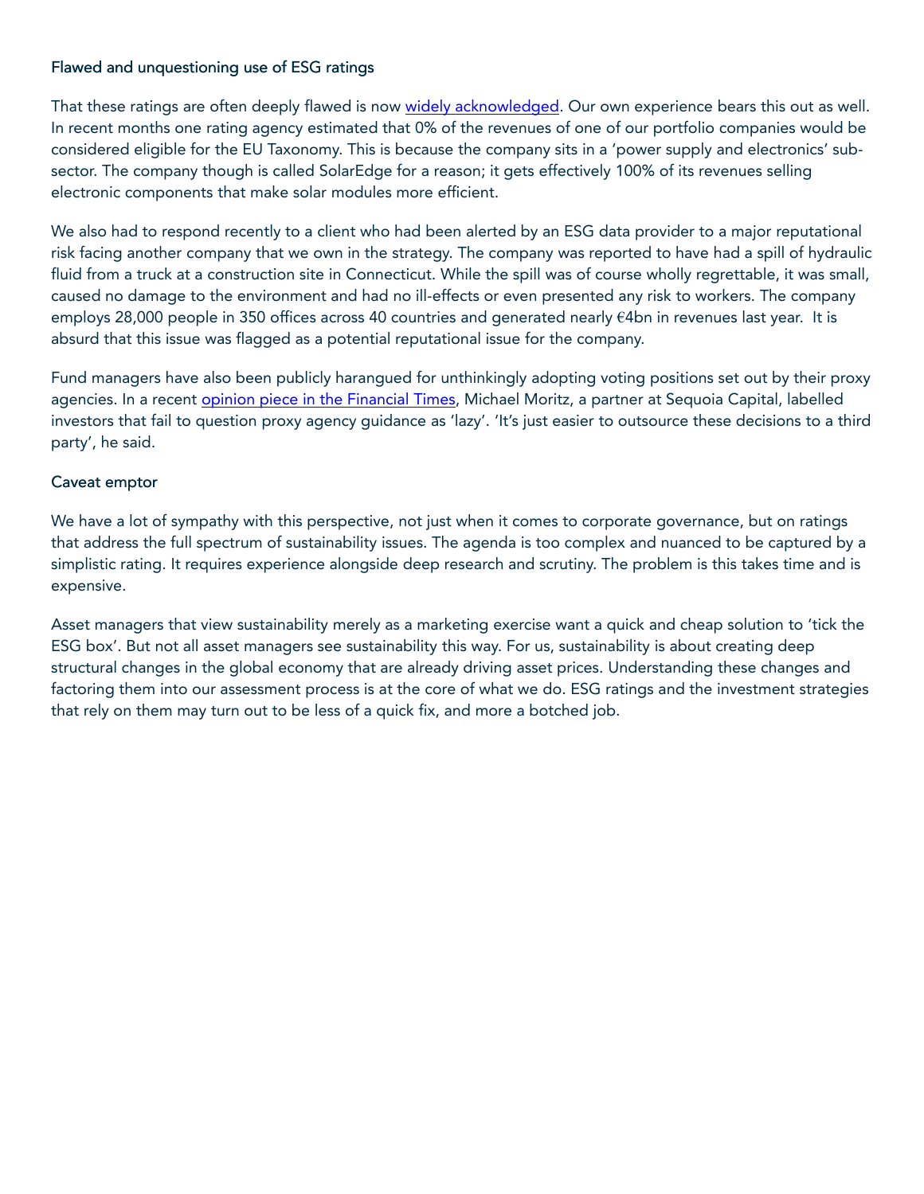# Flawed and unquestioning use of ESG ratings

That these ratings are often deeply flawed is now [widely acknowledged.](https://www.ebf.eu/wp-content/uploads/2022/03/EBF-Response-ESMA-Call-For-Evidence-on-Market-Characteristics-for-ESG-Rating-Providers-in-the-EU_11.03.2022.pdf) Our own experience bears this out as well. In recent months one rating agency estimated that 0% of the revenues of one of our portfolio companies would be considered eligible for the EU Taxonomy. This is because the company sits in a 'power supply and electronics' subsector. The company though is called SolarEdge for a reason; it gets effectively 100% of its revenues selling electronic components that make solar modules more efficient.

We also had to respond recently to a client who had been alerted by an ESG data provider to a major reputational risk facing another company that we own in the strategy. The company was reported to have had a spill of hydraulic fluid from a truck at a construction site in Connecticut. While the spill was of course wholly regrettable, it was small, caused no damage to the environment and had no ill-effects or even presented any risk to workers. The company employs 28,000 people in 350 offices across 40 countries and generated nearly €4bn in revenues last year. It is absurd that this issue was flagged as a potential reputational issue for the company.

Fund managers have also been publicly harangued for unthinkingly adopting voting positions set out by their proxy agencies. In a recent *opinion piece in the Financial Times*, Michael Moritz, a partner at Sequoia Capital, labelled investors that fail to question proxy agency guidance as 'lazy'. 'It's just easier to outsource these decisions to a third party', he said.

## Caveat emptor

We have a lot of sympathy with this perspective, not just when it comes to corporate governance, but on ratings that address the full spectrum of sustainability issues. The agenda is too complex and nuanced to be captured by a simplistic rating. It requires experience alongside deep research and scrutiny. The problem is this takes time and is expensive.

Asset managers that view sustainability merely as a marketing exercise want a quick and cheap solution to 'tick the ESG box'. But not all asset managers see sustainability this way. For us, sustainability is about creating deep structural changes in the global economy that are already driving asset prices. Understanding these changes and factoring them into our assessment process is at the core of what we do. ESG ratings and the investment strategies that rely on them may turn out to be less of a quick fix, and more a botched job.